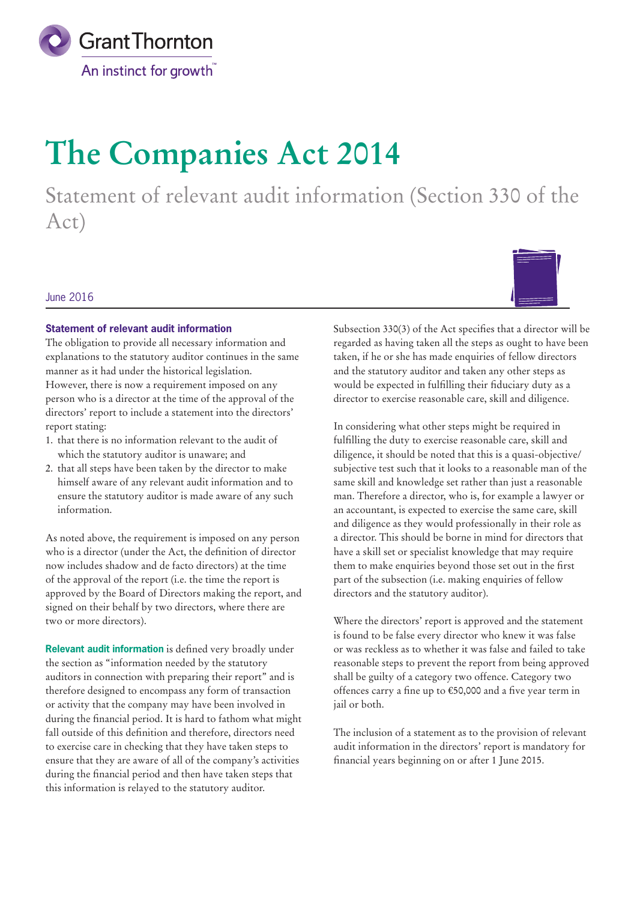

# **The Companies Act 2014**

Statement of relevant audit information (Section 330 of the Act)

## June 2016

## **Statement of relevant audit information**

The obligation to provide all necessary information and explanations to the statutory auditor continues in the same manner as it had under the historical legislation. However, there is now a requirement imposed on any person who is a director at the time of the approval of the directors' report to include a statement into the directors' report stating:

- 1. that there is no information relevant to the audit of which the statutory auditor is unaware; and
- 2. that all steps have been taken by the director to make himself aware of any relevant audit information and to ensure the statutory auditor is made aware of any such information.

As noted above, the requirement is imposed on any person who is a director (under the Act, the definition of director now includes shadow and de facto directors) at the time of the approval of the report (i.e. the time the report is approved by the Board of Directors making the report, and signed on their behalf by two directors, where there are two or more directors).

**Relevant audit information** is defined very broadly under the section as "information needed by the statutory auditors in connection with preparing their report" and is therefore designed to encompass any form of transaction or activity that the company may have been involved in during the financial period. It is hard to fathom what might fall outside of this definition and therefore, directors need to exercise care in checking that they have taken steps to ensure that they are aware of all of the company's activities during the financial period and then have taken steps that this information is relayed to the statutory auditor.

Subsection 330(3) of the Act specifies that a director will be regarded as having taken all the steps as ought to have been taken, if he or she has made enquiries of fellow directors and the statutory auditor and taken any other steps as would be expected in fulfilling their fiduciary duty as a director to exercise reasonable care, skill and diligence.

In considering what other steps might be required in fulfilling the duty to exercise reasonable care, skill and diligence, it should be noted that this is a quasi-objective/ subjective test such that it looks to a reasonable man of the same skill and knowledge set rather than just a reasonable man. Therefore a director, who is, for example a lawyer or an accountant, is expected to exercise the same care, skill and diligence as they would professionally in their role as a director. This should be borne in mind for directors that have a skill set or specialist knowledge that may require them to make enquiries beyond those set out in the first part of the subsection (i.e. making enquiries of fellow directors and the statutory auditor).

Where the directors' report is approved and the statement is found to be false every director who knew it was false or was reckless as to whether it was false and failed to take reasonable steps to prevent the report from being approved shall be guilty of a category two offence. Category two offences carry a fine up to €50,000 and a five year term in jail or both.

The inclusion of a statement as to the provision of relevant audit information in the directors' report is mandatory for financial years beginning on or after 1 June 2015.